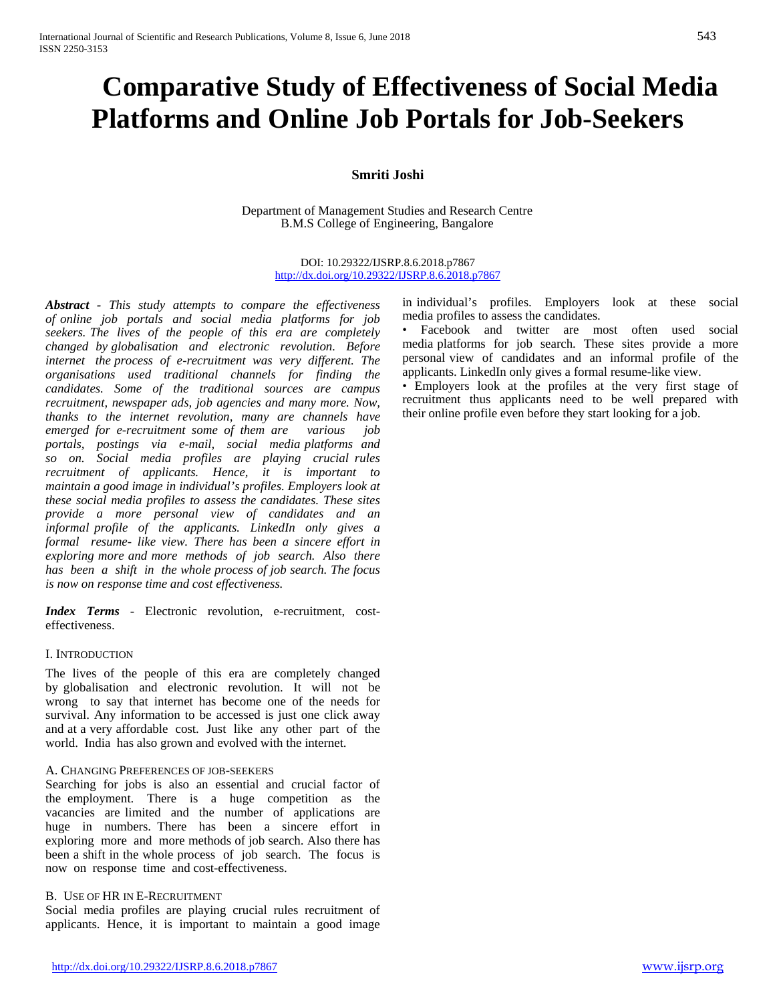# **Comparative Study of Effectiveness of Social Media Platforms and Online Job Portals for Job-Seekers**

## **Smriti Joshi**

Department of Management Studies and Research Centre B.M.S College of Engineering, Bangalore

> DOI: 10.29322/IJSRP.8.6.2018.p7867 <http://dx.doi.org/10.29322/IJSRP.8.6.2018.p7867>

*Abstract - This study attempts to compare the effectiveness of online job portals and social media platforms for job seekers. The lives of the people of this era are completely changed by globalisation and electronic revolution. Before internet the process of e-recruitment was very different. The organisations used traditional channels for finding the candidates. Some of the traditional sources are campus recruitment, newspaper ads, job agencies and many more. Now, thanks to the internet revolution, many are channels have emerged for e-recruitment some of them are various job portals, postings via e-mail, social media platforms and so on. Social media profiles are playing crucial rules recruitment of applicants. Hence, it is important to maintain a good image in individual's profiles. Employers look at these social media profiles to assess the candidates. These sites provide a more personal view of candidates and an informal profile of the applicants. LinkedIn only gives a formal resume- like view. There has been a sincere effort in exploring more and more methods of job search. Also there has been a shift in the whole process of job search. The focus is now on response time and cost effectiveness.*

*Index Terms* - Electronic revolution, e-recruitment, costeffectiveness.

## I. INTRODUCTION

The lives of the people of this era are completely changed by globalisation and electronic revolution. It will not be wrong to say that internet has become one of the needs for survival. Any information to be accessed is just one click away and at a very affordable cost. Just like any other part of the world. India has also grown and evolved with the internet.

#### A. CHANGING PREFERENCES OF JOB-SEEKERS

Searching for jobs is also an essential and crucial factor of the employment. There is a huge competition as the vacancies are limited and the number of applications are huge in numbers. There has been a sincere effort in exploring more and more methods of job search. Also there has been a shift in the whole process of job search. The focus is now on response time and cost-effectiveness.

#### B. USE OF HR IN E-RECRUITMENT

Social media profiles are playing crucial rules recruitment of applicants. Hence, it is important to maintain a good image in individual's profiles. Employers look at these social media profiles to assess the candidates.

• Facebook and twitter are most often used social media platforms for job search. These sites provide a more personal view of candidates and an informal profile of the applicants. LinkedIn only gives a formal resume-like view.

• Employers look at the profiles at the very first stage of recruitment thus applicants need to be well prepared with their online profile even before they start looking for a job.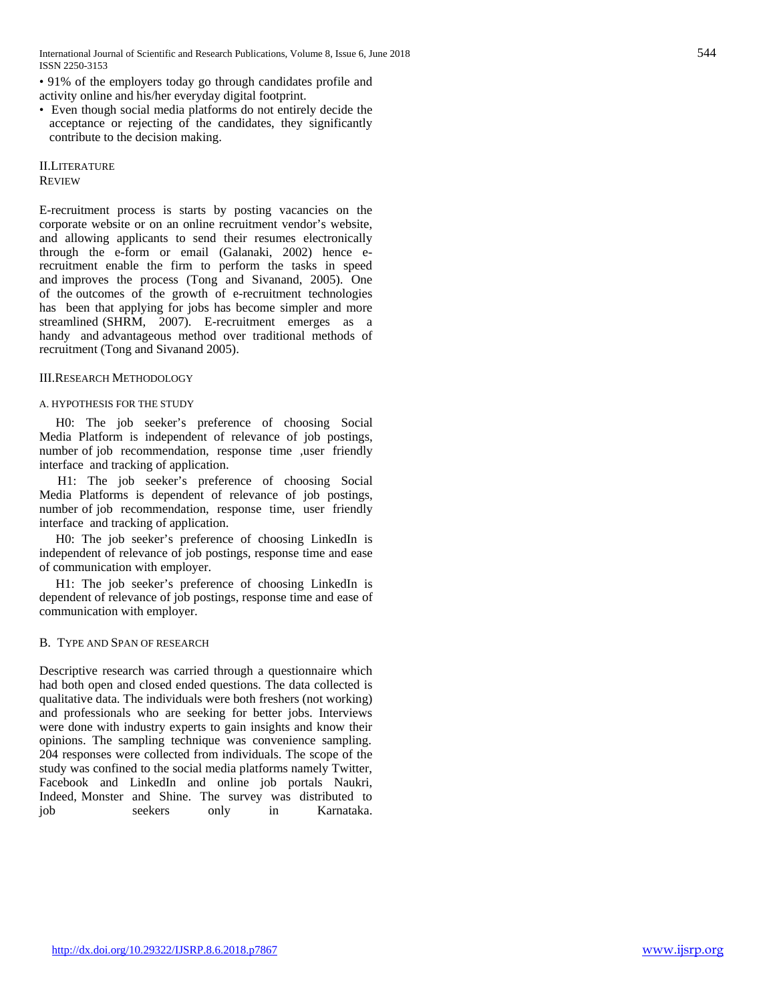International Journal of Scientific and Research Publications, Volume 8, Issue 6, June 2018 544 ISSN 2250-3153

• 91% of the employers today go through candidates profile and activity online and his/her everyday digital footprint.

• Even though social media platforms do not entirely decide the acceptance or rejecting of the candidates, they significantly contribute to the decision making.

II.LITERATURE REVIEW

E-recruitment process is starts by posting vacancies on the corporate website or on an online recruitment vendor's website, and allowing applicants to send their resumes electronically through the e-form or email (Galanaki, 2002) hence erecruitment enable the firm to perform the tasks in speed and improves the process (Tong and Sivanand, 2005). One of the outcomes of the growth of e-recruitment technologies has been that applying for jobs has become simpler and more streamlined (SHRM, 2007). E-recruitment emerges as a handy and advantageous method over traditional methods of recruitment (Tong and Sivanand 2005).

#### III.RESEARCH METHODOLOGY

#### A. HYPOTHESIS FOR THE STUDY

H0: The job seeker's preference of choosing Social Media Platform is independent of relevance of job postings, number of job recommendation, response time ,user friendly interface and tracking of application.

H1: The job seeker's preference of choosing Social Media Platforms is dependent of relevance of job postings, number of job recommendation, response time, user friendly interface and tracking of application.

H0: The job seeker's preference of choosing LinkedIn is independent of relevance of job postings, response time and ease of communication with employer.

H1: The job seeker's preference of choosing LinkedIn is dependent of relevance of job postings, response time and ease of communication with employer.

### B. TYPE AND SPAN OF RESEARCH

Descriptive research was carried through a questionnaire which had both open and closed ended questions. The data collected is qualitative data. The individuals were both freshers (not working) and professionals who are seeking for better jobs. Interviews were done with industry experts to gain insights and know their opinions. The sampling technique was convenience sampling. 204 responses were collected from individuals. The scope of the study was confined to the social media platforms namely Twitter, Facebook and LinkedIn and online job portals Naukri, Indeed, Monster and Shine. The survey was distributed to job seekers only in Karnataka.